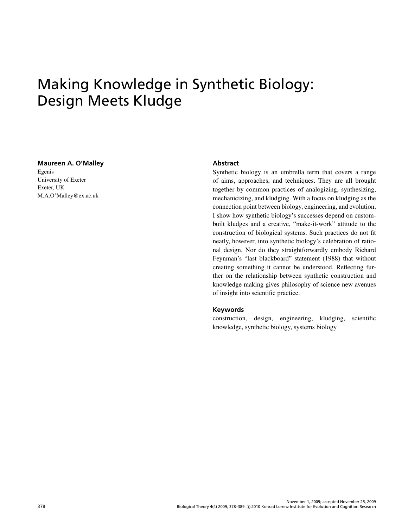# Making Knowledge in Synthetic Biology: Design Meets Kludge

**Maureen A. O'Malley**

Egenis University of Exeter Exeter, UK M.A.O'Malley@ex.ac.uk

# **Abstract**

Synthetic biology is an umbrella term that covers a range of aims, approaches, and techniques. They are all brought together by common practices of analogizing, synthesizing, mechanicizing, and kludging. With a focus on kludging as the connection point between biology, engineering, and evolution, I show how synthetic biology's successes depend on custombuilt kludges and a creative, "make-it-work" attitude to the construction of biological systems. Such practices do not fit neatly, however, into synthetic biology's celebration of rational design. Nor do they straightforwardly embody Richard Feynman's "last blackboard" statement (1988) that without creating something it cannot be understood. Reflecting further on the relationship between synthetic construction and knowledge making gives philosophy of science new avenues of insight into scientific practice.

#### **Keywords**

construction, design, engineering, kludging, scientific knowledge, synthetic biology, systems biology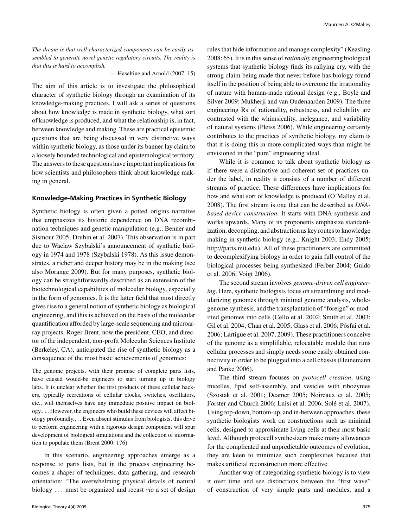*The dream is that well-characterized components can be easily assembled to generate novel genetic regulatory circuits. The reality is that this is hard to accomplish.*

— Haseltine and Arnold (2007: 15)

The aim of this article is to investigate the philosophical character of synthetic biology through an examination of its knowledge-making practices. I will ask a series of questions about how knowledge is made in synthetic biology, what sort of knowledge is produced, and what the relationship is, in fact, between knowledge and making. These are practical epistemic questions that are being discussed in very distinctive ways within synthetic biology, as those under its banner lay claim to a loosely bounded technological and epistemological territory. The answers to these questions have important implications for how scientists and philosophers think about knowledge making in general.

#### **Knowledge-Making Practices in Synthetic Biology**

Synthetic biology is often given a potted origins narrative that emphasizes its historic dependence on DNA recombination techniques and genetic manipulation (e.g., Benner and Sismour 2005; Drubin et al. 2007). This observation is in part due to Waclaw Szybalski's announcement of synthetic biology in 1974 and 1978 (Szybalski 1978). As this issue demonstrates, a richer and deeper history may be in the making (see also Morange 2009). But for many purposes, synthetic biology can be straightforwardly described as an extension of the biotechnological capabilities of molecular biology, especially in the form of genomics. It is the latter field that most directly gives rise to a general notion of synthetic biology as biological engineering, and this is achieved on the basis of the molecular quantification afforded by large-scale sequencing and microarray projects. Roger Brent, now the president, CEO, and director of the independent, non-profit Molecular Sciences Institute (Berkeley, CA), anticipated the rise of synthetic biology as a consequence of the most basic achievements of genomics:

The genome projects, with their promise of complete parts lists, have caused would-be engineers to start turning up in biology labs. It is unclear whether the first products of these cellular hackers, typically recreations of cellular clocks, switches, oscillators, etc., will themselves have any immediate positive impact on biology.. . . However, the engineers who build these devices will affect biology profoundly.. . . Even absent stimulus from biologists, this drive to perform engineering with a rigorous design component will spur development of biological simulations and the collection of information to populate them (Brent 2000: 176).

In this scenario, engineering approaches emerge as a response to parts lists, but in the process engineering becomes a shaper of techniques, data gathering, and research orientation: "The overwhelming physical details of natural biology . . . must be organized and recast *via* a set of design rules that hide information and manage complexity" (Keasling 2008: 65). It is in this sense of*rationally* engineering biological systems that synthetic biology finds its rallying cry, with the strong claim being made that never before has biology found itself in the position of being able to overcome the irrationality of nature with human-made rational design (e.g., Boyle and Silver 2009; Mukherji and van Oudenaarden 2009). The three engineering Rs of rationality, robustness, and reliability are contrasted with the whimsicality, inelegance, and variability of natural systems (Pleiss 2006). While engineering certainly contributes to the practices of synthetic biology, my claim is that it is doing this in more complicated ways than might be envisioned in the "pure" engineering ideal.

While it is common to talk about synthetic biology as if there were a distinctive and coherent set of practices under the label, in reality it consists of a number of different streams of practice. These differences have implications for how and what sort of knowledge is produced (O'Malley et al. 2008). The first stream is one that can be described as *DNAbased device construction*. It starts with DNA synthesis and works upwards. Many of its proponents emphasize standardization, decoupling, and abstraction as key routes to knowledge making in synthetic biology (e.g., Knight 2003; Endy 2005; [http://parts.mit.edu\)](http://parts.mit.edu). All of these practitioners are committed to decomplexifying biology in order to gain full control of the biological processes being synthesized (Ferber 2004; Guido et al. 2006; Voigt 2006).

The second stream involves *genome-driven cell engineering*. Here, synthetic biologists focus on streamlining and modularizing genomes through minimal genome analysis, wholegenome synthesis, and the transplantation of "foreign" or modified genomes into cells (Cello et al. 2002; Smith et al. 2003; Gil et al. 2004; Chan et al. 2005; Glass et al. 2006; Pósfai et al. 2006; Lartigue et al. 2007, 2009). These practitioners conceive of the genome as a simplifiable, relocatable module that runs cellular processes and simply needs some easily obtained connectivity in order to be plugged into a cell chassis (Heinemann and Panke 2006).

The third stream focuses on *protocell creation*, using micelles, lipid self-assembly, and vesicles with ribozymes (Szostak et al. 2001; Deamer 2005; Noireaux et al. 2005; Forster and Church 2006; Luisi et al. 2006; Solé et al. 2007). Using top-down, bottom-up, and in-between approaches, these synthetic biologists work on constructions such as minimal cells, designed to approximate living cells at their most basic level. Although protocell synthesizers make many allowances for the complicated and unpredictable outcomes of evolution, they are keen to minimize such complexities because that makes artificial reconstruction more effective.

Another way of categorizing synthetic biology is to view it over time and see distinctions between the "first wave" of construction of very simple parts and modules, and a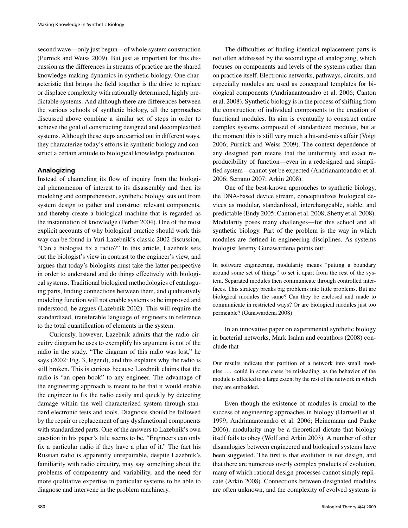second wave—only just begun—of whole system construction (Purnick and Weiss 2009). But just as important for this discussion as the differences in streams of practice are the shared knowledge-making dynamics in synthetic biology. One characteristic that brings the field together is the drive to replace or displace complexity with rationally determined, highly predictable systems. And although there are differences between the various schools of synthetic biology, all the approaches discussed above combine a similar set of steps in order to achieve the goal of constructing designed and decomplexified systems. Although these steps are carried out in different ways, they characterize today's efforts in synthetic biology and construct a certain attitude to biological knowledge production.

# **Analogizing**

Instead of channeling its flow of inquiry from the biological phenomenon of interest to its disassembly and then its modeling and comprehension, synthetic biology sets out from system design to gather and construct relevant components, and thereby create a biological machine that is regarded as the instantiation of knowledge (Ferber 2004). One of the most explicit accounts of why biological practice should work this way can be found in Yuri Lazebnik's classic 2002 discussion, "Can a biologist fix a radio?" In this article, Lazebnik sets out the biologist's view in contrast to the engineer's view, and argues that today's biologists must take the latter perspective in order to understand and do things effectively with biological systems. Traditional biological methodologies of cataloguing parts, finding connections between them, and qualitatively modeling function will not enable systems to be improved and understood, he argues (Lazebnik 2002). This will require the standardized, transferable language of engineers in reference to the total quantification of elements in the system.

Curiously, however, Lazebnik admits that the radio circuitry diagram he uses to exemplify his argument is not of the radio in the study. "The diagram of this radio was lost," he says (2002: Fig. 3, legend), and this explains why the radio is still broken. This is curious because Lazebnik claims that the radio is "an open book" to any engineer. The advantage of the engineering approach is meant to be that it would enable the engineer to fix the radio easily and quickly by detecting damage within the well characterized system through standard electronic tests and tools. Diagnosis should be followed by the repair or replacement of any dysfunctional components with standardized parts. One of the answers to Lazebnik's own question in his paper's title seems to be, "Engineers can only fix a particular radio if they have a plan of it." The fact his Russian radio is apparently unrepairable, despite Lazebnik's familiarity with radio circuitry, may say something about the problems of componentry and variability, and the need for more qualitative expertise in particular systems to be able to diagnose and intervene in the problem machinery.

The difficulties of finding identical replacement parts is not often addressed by the second type of analogizing, which focuses on components and levels of the systems rather than on practice itself. Electronic networks, pathways, circuits, and especially modules are used as conceptual templates for biological components (Andrianantoandro et al. 2006; Canton et al. 2008). Synthetic biology is in the process of shifting from the construction of individual components to the creation of functional modules. Its aim is eventually to construct entire complex systems composed of standardized modules, but at the moment this is still very much a hit-and-miss affair (Voigt 2006; Purnick and Weiss 2009). The context dependence of any designed part means that the uniformity and exact reproducibility of function—even in a redesigned and simplified system—cannot yet be expected (Andrianantoandro et al. 2006; Serrano 2007; Arkin 2008).

One of the best-known approaches to synthetic biology, the DNA-based device stream, conceptualizes biological devices as modular, standardized, interchangeable, stable, and predictable (Endy 2005; Canton et al. 2008; Shetty et al. 2008). Modularity poses many challenges—for this school and all synthetic biology. Part of the problem is the way in which modules are defined in engineering disciplines. As systems biologist Jeremy Gunawardena points out:

In software engineering, modularity means "putting a boundary around some set of things" to set it apart from the rest of the system. Separated modules then communicate through controlled interfaces. This strategy breaks big problems into little problems. But are biological modules the same? Can they be enclosed and made to communicate in restricted ways? Or are biological modules just too permeable? (Gunawardena 2008)

In an innovative paper on experimental synthetic biology in bacterial networks, Mark Isalan and coauthors (2008) conclude that

Our results indicate that partition of a network into small modules . . . could in some cases be misleading, as the behavior of the module is affected to a large extent by the rest of the network in which they are embedded.

Even though the existence of modules is crucial to the success of engineering approaches in biology (Hartwell et al. 1999; Andrianantoandro et al. 2006; Heinemann and Panke 2006), modularity may be a theoretical dictate that biology itself fails to obey (Wolf and Arkin 2003). A number of other disanalogies between engineered and biological systems have been suggested. The first is that evolution is not design, and that there are numerous overly complex products of evolution, many of which rational design processes cannot simply replicate (Arkin 2008). Connections between designated modules are often unknown, and the complexity of evolved systems is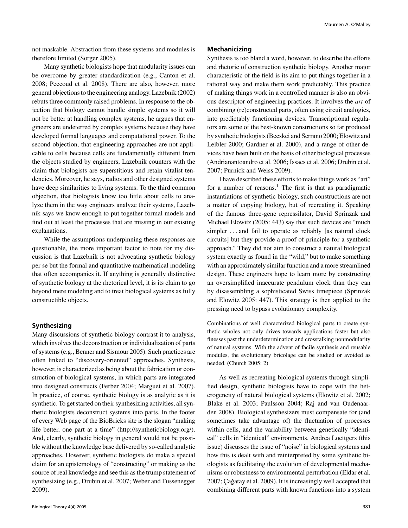not maskable. Abstraction from these systems and modules is therefore limited (Sorger 2005).

Many synthetic biologists hope that modularity issues can be overcome by greater standardization (e.g., Canton et al. 2008; Peccoud et al. 2008). There are also, however, more general objections to the engineering analogy. Lazebnik (2002) rebuts three commonly raised problems. In response to the objection that biology cannot handle simple systems so it will not be better at handling complex systems, he argues that engineers are undeterred by complex systems because they have developed formal languages and computational power. To the second objection, that engineering approaches are not applicable to cells because cells are fundamentally different from the objects studied by engineers, Lazebnik counters with the claim that biologists are superstitious and retain vitalist tendencies. Moreover, he says, radios and other designed systems have deep similarities to living systems. To the third common objection, that biologists know too little about cells to analyze them in the way engineers analyze their systems, Lazebnik says we know enough to put together formal models and find out at least the processes that are missing in our existing explanations.

While the assumptions underpinning these responses are questionable, the more important factor to note for my discussion is that Lazebnik is not advocating synthetic biology per se but the formal and quantitative mathematical modeling that often accompanies it. If anything is generally distinctive of synthetic biology at the rhetorical level, it is its claim to go beyond mere modeling and to treat biological systems as fully constructible objects.

#### **Synthesizing**

Many discussions of synthetic biology contrast it to analysis, which involves the deconstruction or individualization of parts of systems (e.g., Benner and Sismour 2005). Such practices are often linked to "discovery-oriented" approaches. Synthesis, however, is characterized as being about the fabrication or construction of biological systems, in which parts are integrated into designed constructs (Ferber 2004; Marguet et al. 2007). In practice, of course, synthetic biology is as analytic as it is synthetic. To get started on their synthesizing activities, all synthetic biologists deconstruct systems into parts. In the footer of every Web page of the BioBricks site is the slogan "making life better, one part at a time" [\(http://syntheticbiology.org/\)](http://syntheticbiology.org/). And, clearly, synthetic biology in general would not be possible without the knowledge base delivered by so-called analytic approaches. However, synthetic biologists do make a special claim for an epistemology of "constructing" or making as the source of real knowledge and see this as the trump statement of synthesizing (e.g., Drubin et al. 2007; Weber and Fussenegger 2009).

#### **Mechanicizing**

Synthesis is too bland a word, however, to describe the efforts and rhetoric of construction synthetic biology. Another major characteristic of the field is its aim to put things together in a rational way and make them work predictably. This practice of making things work in a controlled manner is also an obvious descriptor of engineering practices. It involves the *art* of combining (re)constructed parts, often using circuit analogies, into predictably functioning devices. Transcriptional regulators are some of the best-known constructions so far produced by synthetic biologists (Becskei and Serrano 2000; Elowitz and Leibler 2000; Gardner et al. 2000), and a range of other devices have been built on the basis of other biological processes (Andrianantoandro et al. 2006; Issacs et al. 2006; Drubin et al. 2007; Purnick and Weiss 2009).

I have described these efforts to make things work as "art" for a number of reasons.<sup>1</sup> The first is that as paradigmatic instantiations of synthetic biology, such constructions are not a matter of copying biology, but of recreating it. Speaking of the famous three-gene repressilator, David Sprinzak and Michael Elowitz (2005: 443) say that such devices are "much simpler ... and fail to operate as reliably [as natural clock circuits] but they provide a proof of principle for a synthetic approach." They did not aim to construct a natural biological system exactly as found in the "wild," but to make something with an approximately similar function and a more streamlined design. These engineers hope to learn more by constructing an oversimplified inaccurate pendulum clock than they can by disassembling a sophisticated Swiss timepiece (Sprinzak and Elowitz 2005: 447). This strategy is then applied to the pressing need to bypass evolutionary complexity.

Combinations of well characterized biological parts to create synthetic wholes not only drives towards applications faster but also finesses past the underdetermination and crosstalking nonmodularity of natural systems. With the advent of facile synthesis and reusable modules, the evolutionary bricolage can be studied or avoided as needed. (Church 2005: 2)

As well as recreating biological systems through simplified design, synthetic biologists have to cope with the heterogeneity of natural biological systems (Elowitz et al. 2002; Blake et al. 2003; Paulsson 2004; Raj and van Oudenaarden 2008). Biological synthesizers must compensate for (and sometimes take advantage of) the fluctuation of processes within cells, and the variability between genetically "identical" cells in "identical" environments. Andrea Loettgers (this issue) discusses the issue of "noise" in biological systems and how this is dealt with and reinterpreted by some synthetic biologists as facilitating the evolution of developmental mechanisms or robustness to environmental perturbation (Eldar et al.  $2007$ ; Cağatay et al.  $2009$ ). It is increasingly well accepted that combining different parts with known functions into a system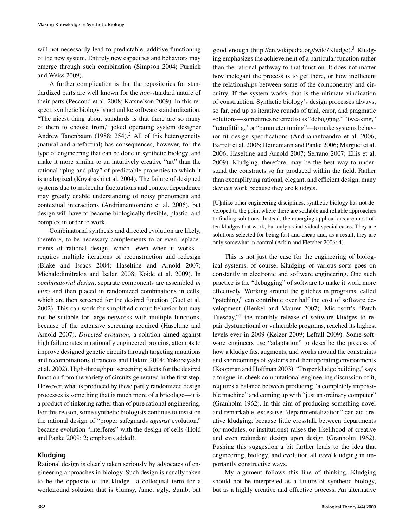will not necessarily lead to predictable, additive functioning of the new system. Entirely new capacities and behaviors may emerge through such combination (Simpson 2004; Purnick and Weiss 2009).

A further complication is that the repositories for standardized parts are well known for the *non*-standard nature of their parts (Peccoud et al. 2008; Katsnelson 2009). In this respect, synthetic biology is not unlike software standardization. "The nicest thing about standards is that there are so many of them to choose from," joked operating system designer Andrew Tanenbaum (1988:  $254$ ).<sup>2</sup> All of this heterogeneity (natural and artefactual) has consequences, however, for the type of engineering that can be done in synthetic biology, and make it more similar to an intuitively creative "art" than the rational "plug and play" of predictable properties to which it is analogized (Koyabashi et al. 2004). The failure of designed systems due to molecular fluctuations and context dependence may greatly enable understanding of noisy phenomena and contextual interactions (Andrianantoandro et al. 2006), but design will have to become biologically flexible, plastic, and complex in order to work.

Combinatorial synthesis and directed evolution are likely, therefore, to be necessary complements to or even replacements of rational design, which—even when it works requires multiple iterations of reconstruction and redesign (Blake and Issacs 2004; Haseltine and Arnold 2007; Michalodimitrakis and Isalan 2008; Koide et al. 2009). In *combinatorial design*, separate components are assembled *in vitro* and then placed in randomized combinations in cells, which are then screened for the desired function (Guet et al. 2002). This can work for simplified circuit behavior but may not be suitable for large networks with multiple functions, because of the extensive screening required (Haseltine and Arnold 2007). *Directed evolution*, a solution aimed against high failure rates in rationally engineered proteins, attempts to improve designed genetic circuits through targeting mutations and recombinations (Francois and Hakim 2004; Yokobayashi et al. 2002). High-throughput screening selects for the desired function from the variety of circuits generated in the first step. However, what is produced by these partly randomized design processes is something that is much more of a bricolage—it is a product of tinkering rather than of pure rational engineering. For this reason, some synthetic biologists continue to insist on the rational design of "proper safeguards *against* evolution," because evolution "interferes" with the design of cells (Hold and Panke 2009: 2; emphasis added).

# **Kludging**

Rational design is clearly taken seriously by advocates of engineering approaches in biology. Such design is usually taken to be the opposite of the kludge—a colloquial term for a workaround solution that is *k*lumsy, *l*ame, *u*gly, *d*umb, but *g*ood *e*nough [\(http://en.wikipedia.org/wiki/Kludge\)](http://en.wikipedia.org/wiki/Kludge).3 Kludging emphasizes the achievement of a particular function rather than the rational pathway to that function. It does not matter how inelegant the process is to get there, or how inefficient the relationships between some of the componentry and circuitry. If the system works, that is the ultimate vindication of construction. Synthetic biology's design processes always, so far, end up as iterative rounds of trial, error, and pragmatic solutions—sometimes referred to as "debugging," "tweaking," "retrofitting," or "parameter tuning"—to make systems behavior fit design specifications (Andrianantoandro et al. 2006; Barrett et al. 2006; Heinemann and Panke 2006; Marguet et al. 2006; Haseltine and Arnold 2007; Serrano 2007; Ellis et al. 2009). Kludging, therefore, may be the best way to understand the constructs so far produced within the field. Rather than exemplifying rational, elegant, and efficient design, many devices work because they are kludges.

[U]nlike other engineering disciplines, synthetic biology has not developed to the point where there are scalable and reliable approaches to finding solutions. Instead, the emerging applications are most often kludges that work, but only as individual special cases. They are solutions selected for being fast and cheap and, as a result, they are only somewhat in control (Arkin and Fletcher 2006: 4).

This is not just the case for the engineering of biological systems, of course. Kludging of various sorts goes on constantly in electronic and software engineering. One such practice is the "debugging" of software to make it work more effectively. Working around the glitches in programs, called "patching," can contribute over half the cost of software development (Henkel and Maurer 2007). Microsoft's "Patch Tuesday,"4 the monthly release of software kludges to repair dysfunctional or vulnerable programs, reached its highest levels ever in 2009 (Keizer 2009; Leffall 2009). Some software engineers use "adaptation" to describe the process of how a kludge fits, augments, and works around the constraints and shortcomings of systems and their operating environments (Koopman and Hoffman 2003). "Proper kludge building," says a tongue-in-cheek computational engineering discussion of it, requires a balance between producing "a completely impossible machine" and coming up with "just an ordinary computer" (Granholm 1962). In this aim of producing something novel and remarkable, excessive "departmentalization" can aid creative kludging, because little crosstalk between departments (or modules, or institutions) raises the likelihood of creative and even redundant design upon design (Granholm 1962). Pushing this suggestion a bit further leads to the idea that engineering, biology, and evolution all *need* kludging in importantly constructive ways.

My argument follows this line of thinking. Kludging should not be interpreted as a failure of synthetic biology, but as a highly creative and effective process. An alternative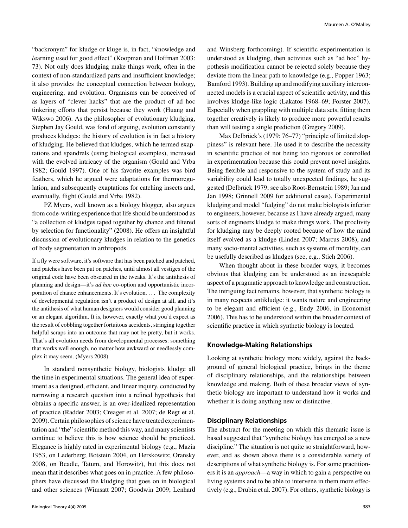"backronym" for kludge or kluge is, in fact, "*k*nowledge and *l*earning *u*sed for *g*ood *e*ffect" (Koopman and Hoffman 2003: 73). Not only does kludging make things work, often in the context of non-standardized parts and insufficient knowledge; it also provides the conceptual connection between biology, engineering, and evolution. Organisms can be conceived of as layers of "clever hacks" that are the product of ad hoc tinkering efforts that persist because they work (Huang and Wikswo 2006). As the philosopher of evolutionary kludging, Stephen Jay Gould, was fond of arguing, evolution constantly produces kludges: the history of evolution is in fact a history of kludging. He believed that kludges, which he termed exaptations and spandrels (using biological examples), increased with the evolved intricacy of the organism (Gould and Vrba 1982; Gould 1997). One of his favorite examples was bird feathers, which he argued were adaptations for thermoregulation, and subsequently exaptations for catching insects and, eventually, flight (Gould and Vrba 1982).

PZ Myers, well known as a biology blogger, also argues from code-writing experience that life should be understood as "a collection of kludges taped together by chance and filtered by selection for functionality" (2008). He offers an insightful discussion of evolutionary kludges in relation to the genetics of body segmentation in arthropods.

If a fly were software, it's software that has been patched and patched, and patches have been put on patches, until almost all vestiges of the original code have been obscured in the tweaks. It's the antithesis of planning and design—it's *ad hoc* co-option and opportunistic incorporation of chance enhancements. It's evolution. . . . The complexity of developmental regulation isn't a product of design at all, and it's the antithesis of what human designers would consider good planning or an elegant algorithm. It is, however, exactly what you'd expect as the result of cobbling together fortuitous accidents, stringing together helpful scraps into an outcome that may not be pretty, but it works. That's all evolution needs from developmental processes: something that works well enough, no matter how awkward or needlessly complex it may seem. (Myers 2008)

In standard nonsynthetic biology, biologists kludge all the time in experimental situations. The general idea of experiment as a designed, efficient, and linear inquiry, conducted by narrowing a research question into a refined hypothesis that obtains a specific answer, is an over-idealized representation of practice (Radder 2003; Creager et al. 2007; de Regt et al. 2009). Certain philosophies of science have treated experimentation and "the" scientific method this way, and many scientists continue to believe this is how science should be practiced. Elegance is highly rated in experimental biology (e.g., Mazia 1953, on Lederberg; Botstein 2004, on Herskowitz; Oransky 2008, on Beadle, Tatum, and Horowitz), but this does not mean that it describes what goes on in practice. A few philosophers have discussed the kludging that goes on in biological and other sciences (Wimsatt 2007; Goodwin 2009; Lenhard and Winsberg forthcoming). If scientific experimentation is understood as kludging, then activities such as "ad hoc" hypothesis modification cannot be rejected solely because they deviate from the linear path to knowledge (e.g., Popper 1963; Bamford 1993). Building up and modifying auxiliary interconnected models is a crucial aspect of scientific activity, and this involves kludge-like logic (Lakatos 1968–69; Forster 2007). Especially when grappling with multiple data sets, fitting them together creatively is likely to produce more powerful results than will testing a single prediction (Gregory 2009).

Max Delbrück's (1979: 76–77) "principle of limited sloppiness" is relevant here. He used it to describe the necessity in scientific practice of not being too rigorous or controlled in experimentation because this could prevent novel insights. Being flexible and responsive to the system of study and its variability could lead to totally unexpected findings, he suggested (Delbrück 1979; see also Root-Bernstein 1989; Jan and Jan 1998; Grinnell 2009 for additional cases). Experimental kludging and model "fudging" do not make biologists inferior to engineers, however, because as I have already argued, many sorts of engineers kludge to make things work. The proclivity for kludging may be deeply rooted because of how the mind itself evolved as a kludge (Linden 2007; Marcus 2008), and many socio-mental activities, such as systems of morality, can be usefully described as kludges (see, e.g., Stich 2006).

When thought about in these broader ways, it becomes obvious that kludging can be understood as an inescapable aspect of a pragmatic approach to knowledge and construction. The intriguing fact remains, however, that synthetic biology is in many respects antikludge: it wants nature and engineering to be elegant and efficient (e.g., Endy 2006, in Economist 2006). This has to be understood within the broader context of scientific practice in which synthetic biology is located.

### **Knowledge-Making Relationships**

Looking at synthetic biology more widely, against the background of general biological practice, brings in the theme of disciplinary relationships, and the relationships between knowledge and making. Both of these broader views of synthetic biology are important to understand how it works and whether it is doing anything new or distinctive.

#### **Disciplinary Relationships**

The abstract for the meeting on which this thematic issue is based suggested that "synthetic biology has emerged as a new discipline." The situation is not quite so straightforward, however, and as shown above there is a considerable variety of descriptions of what synthetic biology is. For some practitioners it is an *approach*—a way in which to gain a perspective on living systems and to be able to intervene in them more effectively (e.g., Drubin et al. 2007). For others, synthetic biology is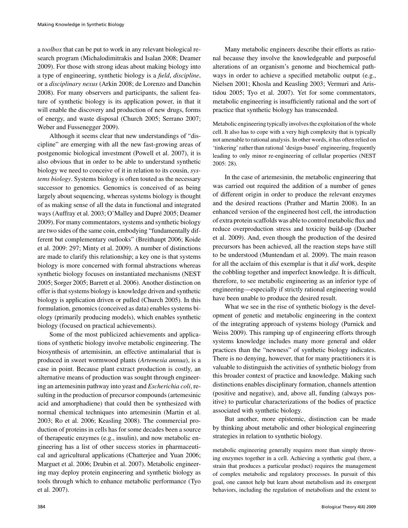a *toolbox* that can be put to work in any relevant biological research program (Michalodimitrakis and Isalan 2008; Deamer 2009). For those with strong ideas about making biology into a type of engineering, synthetic biology is a *field*, *discipline*, or a *disciplinary nexus* (Arkin 2008; de Lorenzo and Danchin 2008). For many observers and participants, the salient feature of synthetic biology is its application power, in that it will enable the discovery and production of new drugs, forms of energy, and waste disposal (Church 2005; Serrano 2007; Weber and Fussenegger 2009).

Although it seems clear that new understandings of "discipline" are emerging with all the new fast-growing areas of postgenomic biological investment (Powell et al. 2007), it is also obvious that in order to be able to understand synthetic biology we need to conceive of it in relation to its cousin, *systems biology*. Systems biology is often touted as the necessary successor to genomics. Genomics is conceived of as being largely about sequencing, whereas systems biology is thought of as making sense of all the data in functional and integrated ways (Auffray et al. 2003; O'Malley and Dupré 2005; Deamer 2009). For many commentators, systems and synthetic biology are two sides of the same coin, embodying "fundamentally different but complementary outlooks" (Breithaupt 2006; Koide et al. 2009: 297; Minty et al. 2009). A number of distinctions are made to clarify this relationship; a key one is that systems biology is more concerned with formal abstractions whereas synthetic biology focuses on instantiated mechanisms (NEST 2005; Sorger 2005; Barrett et al. 2006). Another distinction on offer is that systems biology is knowledge driven and synthetic biology is application driven or pulled (Church 2005). In this formulation, genomics (conceived as data) enables systems biology (primarily producing models), which enables synthetic biology (focused on practical achievements).

Some of the most publicized achievements and applications of synthetic biology involve metabolic engineering. The biosynthesis of artemisinin, an effective antimalarial that is produced in sweet wormwood plants (*Artemesia annua*), is a case in point. Because plant extract production is costly, an alternative means of production was sought through engineering an artemesinin pathway into yeast and *Escherichia coli*, resulting in the production of precursor compounds (artemesinic acid and amorphadiene) that could then be synthesized with normal chemical techniques into artemesinin (Martin et al. 2003; Ro et al. 2006; Keasling 2008). The commercial production of proteins in cells has for some decades been a source of therapeutic enzymes (e.g., insulin), and now metabolic engineering has a list of other success stories in pharmaceutical and agricultural applications (Chatterjee and Yuan 2006; Marguet et al. 2006; Drubin et al. 2007). Metabolic engineering may deploy protein engineering and synthetic biology as tools through which to enhance metabolic performance (Tyo et al. 2007).

Many metabolic engineers describe their efforts as rational because they involve the knowledgeable and purposeful alterations of an organism's genome and biochemical pathways in order to achieve a specified metabolic output (e.g., Nielsen 2001; Khosla and Keasling 2003; Vermuri and Aristidou 2005; Tyo et al. 2007). Yet for some commentators, metabolic engineering is insufficiently rational and the sort of practice that synthetic biology has transcended.

Metabolic engineering typically involves the exploitation of the whole cell. It also has to cope with a very high complexity that is typically not amenable to rational analysis. In other words, it has often relied on 'tinkering' rather than rational 'design-based' engineering, frequently leading to only minor re-engineering of cellular properties (NEST 2005: 28).

In the case of artemesinin, the metabolic engineering that was carried out required the addition of a number of genes of different origin in order to produce the relevant enzymes and the desired reactions (Prather and Martin 2008). In an enhanced version of the engineered host cell, the introduction of extra protein scaffolds was able to control metabolic flux and reduce overproduction stress and toxicity build-up (Dueber et al. 2009). And, even though the production of the desired precursors has been achieved, all the reaction steps have still to be understood (Muntendam et al. 2009). The main reason for all the acclaim of this exemplar is that it *did* work, despite the cobbling together and imperfect knowledge. It is difficult, therefore, to see metabolic engineering as an inferior type of engineering—especially if strictly rational engineering would have been unable to produce the desired result.

What we see in the rise of synthetic biology is the development of genetic and metabolic engineering in the context of the integrating approach of systems biology (Purnick and Weiss 2009). This ramping up of engineering efforts through systems knowledge includes many more general and older practices than the "newness" of synthetic biology indicates. There is no denying, however, that for many practitioners it is valuable to distinguish the activities of synthetic biology from this broader context of practice and knowledge. Making such distinctions enables disciplinary formation, channels attention (positive and negative), and, above all, funding (always positive) to particular characterizations of the bodies of practice associated with synthetic biology.

But another, more epistemic, distinction can be made by thinking about metabolic and other biological engineering strategies in relation to synthetic biology.

metabolic engineering generally requires more than simply throwing enzymes together in a cell. Achieving a synthetic goal (here, a strain that produces a particular product) requires the management of complex metabolic and regulatory processes. In pursuit of this goal, one cannot help but learn about metabolism and its emergent behaviors, including the regulation of metabolism and the extent to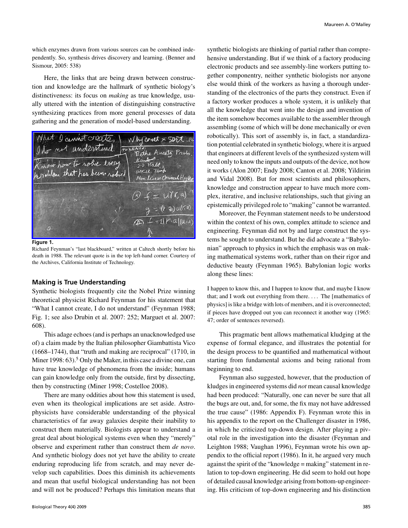which enzymes drawn from various sources can be combined independently. So, synthesis drives discovery and learning. (Benner and Sismour, 2005: 538)

Here, the links that are being drawn between construction and knowledge are the hallmark of synthetic biology's distinctiveness: its focus on *making* as true knowledge, usually uttered with the intention of distinguishing constructive synthesizing practices from more general processes of data gathering and the generation of model-based understanding.

Nhat I cannot create. Why court x sait S do not understand To what<br>River how to solve lovery K<br>problem that has been robed nastr  $H_0$ 00  $100110$ Linear Chas  $9 - (r + 2)$  alr. 2)  $L = 2|V \cdot \alpha|_{|U| \cdot \alpha}$ 

**Figure 1.**

Richard Feynman's "last blackboard," written at Caltech shortly before his death in 1988. The relevant quote is in the top left-hand corner. Courtesy of the Archives, California Institute of Technology.

#### **Making is True Understanding**

Synthetic biologists frequently cite the Nobel Prize winning theoretical physicist Richard Feynman for his statement that "What I cannot create, I do not understand" (Feynman 1988; Fig. 1; see also Drubin et al. 2007: 252; Marguet et al. 2007: 608).

This adage echoes (and is perhaps an unacknowledged use of) a claim made by the Italian philosopher Giambattista Vico (1668–1744), that "truth and making are reciprocal" (1710, in Miner 1998:  $63$ ).<sup>5</sup> Only the Maker, in this case a divine one, can have true knowledge of phenomena from the inside; humans can gain knowledge only from the outside, first by dissecting, then by constructing (Miner 1998; Costelloe 2008).

There are many oddities about how this statement is used, even when its theological implications are set aside. Astrophysicists have considerable understanding of the physical characteristics of far away galaxies despite their inability to construct them materially. Biologists appear to understand a great deal about biological systems even when they "merely" observe and experiment rather than construct them *de novo*. And synthetic biology does not yet have the ability to create enduring reproducing life from scratch, and may never develop such capabilities. Does this diminish its achievements and mean that useful biological understanding has not been and will not be produced? Perhaps this limitation means that synthetic biologists are thinking of partial rather than comprehensive understanding. But if we think of a factory producing electronic products and see assembly-line workers putting together componentry, neither synthetic biologists nor anyone else would think of the workers as having a thorough understanding of the electronics of the parts they construct. Even if a factory worker produces a whole system, it is unlikely that all the knowledge that went into the design and invention of the item somehow becomes available to the assembler through assembling (some of which will be done mechanically or even robotically). This sort of assembly is, in fact, a standardization potential celebrated in synthetic biology, where it is argued that engineers at different levels of the synthesized system will need only to know the inputs and outputs of the device, not how it works (Alon 2007; Endy 2008; Canton et al. 2008; Yildirim and Vidal 2008). But for most scientists and philosophers, knowledge and construction appear to have much more complex, iterative, and inclusive relationships, such that giving an epistemically privileged role to "making" cannot be warranted.

Moreover, the Feynman statement needs to be understood within the context of his own, complex attitude to science and engineering. Feynman did not by and large construct the systems he sought to understand. But he did advocate a "Babylonian" approach to physics in which the emphasis was on making mathematical systems work, rather than on their rigor and deductive beauty (Feynman 1965). Babylonian logic works along these lines:

I happen to know this, and I happen to know that, and maybe I know that; and I work out everything from there. . . . The [mathematics of physics] is like a bridge with lots of members, and it is overconnected; if pieces have dropped out you can reconnect it another way (1965: 47; order of sentences reversed).

This pragmatic bent allows mathematical kludging at the expense of formal elegance, and illustrates the potential for the design process to be quantified and mathematical without starting from fundamental axioms and being rational from beginning to end.

Feynman also suggested, however, that the production of kludges in engineered systems did *not* mean causal knowledge had been produced: "Naturally, one can never be sure that all the bugs are out, and, for some, the fix may not have addressed the true cause" (1986: Appendix F). Feynman wrote this in his appendix to the report on the Challenger disaster in 1986, in which he criticized top-down design. After playing a pivotal role in the investigation into the disaster (Feynman and Leighton 1988; Vaughan 1996), Feynman wrote his own appendix to the official report (1986). In it, he argued very much against the spirit of the "knowledge = making" statement in relation to top-down engineering. He did seem to hold out hope of detailed causal knowledge arising from bottom-up engineering. His criticism of top-down engineering and his distinction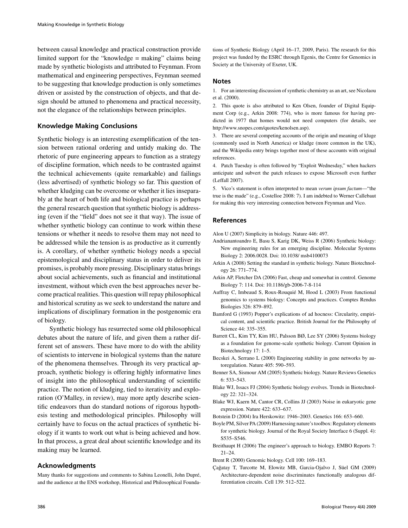between causal knowledge and practical construction provide limited support for the "knowledge = making" claims being made by synthetic biologists and attributed to Feynman. From mathematical and engineering perspectives, Feynman seemed to be suggesting that knowledge production is only sometimes driven or assisted by the construction of objects, and that design should be attuned to phenomena and practical necessity, not the elegance of the relationships between principles.

### **Knowledge Making Conclusions**

Synthetic biology is an interesting exemplification of the tension between rational ordering and untidy making do. The rhetoric of pure engineering appears to function as a strategy of discipline formation, which needs to be contrasted against the technical achievements (quite remarkable) and failings (less advertised) of synthetic biology so far. This question of whether kludging can be overcome or whether it lies inseparably at the heart of both life and biological practice is perhaps the general research question that synthetic biology is addressing (even if the "field" does not see it that way). The issue of whether synthetic biology can continue to work within these tensions or whether it needs to resolve them may not need to be addressed while the tension is as productive as it currently is. A corollary, of whether synthetic biology needs a special epistemological and disciplinary status in order to deliver its promises, is probably more pressing. Disciplinary status brings about social achievements, such as financial and institutional investment, without which even the best approaches never become practical realities. This question will repay philosophical and historical scrutiny as we seek to understand the nature and implications of disciplinary formation in the postgenomic era of biology.

Synthetic biology has resurrected some old philosophical debates about the nature of life, and given them a rather different set of answers. These have more to do with the ability of scientists to intervene in biological systems than the nature of the phenomena themselves. Through its very practical approach, synthetic biology is offering highly informative lines of insight into the philosophical understanding of scientific practice. The notion of kludging, tied to iterativity and exploration (O'Malley, in review), may more aptly describe scientific endeavors than do standard notions of rigorous hypothesis testing and methodological principles. Philosophy will certainly have to focus on the actual practices of synthetic biology if it wants to work out what is being achieved and how. In that process, a great deal about scientific knowledge and its making may be learned.

#### **Acknowledgments**

Many thanks for suggestions and comments to Sabina Leonelli, John Dupré, and the audience at the ENS workshop, Historical and Philosophical Foundations of Synthetic Biology (April 16–17, 2009, Paris). The research for this project was funded by the ESRC through Egenis, the Centre for Genomics in Society at the University of Exeter, UK.

#### **Notes**

1. For an interesting discussion of synthetic chemistry as an art, see Nicolaou et al. (2000).

2. This quote is also attributed to Ken Olsen, founder of Digital Equipment Corp (e.g., Arkin 2008: 774), who is more famous for having predicted in 1977 that homes would not need computers (for details, see [http://www.snopes.com/quotes/kenolsen.asp\)](http://www.snopes.com/quotes/kenolsen.asp).

3. There are several competing accounts of the origin and meaning of kluge (commonly used in North America) or kludge (more common in the UK), and the Wikipedia entry brings together most of these accounts with original references.

4. Patch Tuesday is often followed by "Exploit Wednesday," when hackers anticipate and subvert the patch releases to expose Microsoft even further (Leffall 2007).

5. Vico's statement is often interpreted to mean *verum ipsum factum*—"the true is the made" (e.g., Costelloe 2008: 7). I am indebted to Werner Callebaut for making this very interesting connection between Feynman and Vico.

## **References**

Alon U (2007) Simplicity in biology. Nature 446: 497.

- Andrianantoandro E, Basu S, Karig DK, Weiss R (2006) Synthetic biology: New engineering rules for an emerging discipline. Molecular Systems Biology 2: 2006.0028. Doi: 10.1038/ msb4100073
- Arkin A (2008) Setting the standard in synthetic biology. Nature Biotechnology 26: 771–774.
- Arkin AP, Fletcher DA (2006) Fast, cheap and somewhat in control. Genome Biology 7: 114. Doi: 10.1186/gb-2006-7-8-114
- Auffray C, Imbeaud S, Roux-Rouquié M, Hood L (2003) From functional genomics to systems biology: Concepts and practices. Comptes Rendus Biologies 326: 879–892.
- Bamford G (1993) Popper's explications of ad hocness: Circularity, empirical content, and scientific practice. British Journal for the Philosophy of Science 44: 335–355.
- Barrett CL, Kim TY, Kim HU, Palsson BØ, Lee SY (2006) Systems biology as a foundation for genome-scale synthetic biology. Current Opinion in Biotechnology 17: 1–5.
- Becskei A, Serrano L (2000) Engineering stability in gene networks by autoregulation. Nature 405: 590–593.
- Benner SA, Sismour AM (2005) Synthetic biology. Nature Reviews Genetics 6: 533–543.
- Blake WJ, Issacs FJ (2004) Synthetic biology evolves. Trends in Biotechnology 22: 321–324.
- Blake WJ, Kaern M, Cantor CR, Collins JJ (2003) Noise in eukaryotic gene expression. Nature 422: 633–637.
- Botstein D (2004) Ira Herskowitz: 1946–2003. Genetics 166: 653–660.
- Boyle PM, Silver PA (2009) Harnessing nature's toolbox: Regulatory elements for synthetic biology. Journal of the Royal Society Interface 6 (Suppl. 4): S535–S546.
- Breithaupt H (2006) The engineer's approach to biology. EMBO Reports 7: 21–24.
- Brent R (2000) Genomic biology. Cell 100: 169–183.
- Çağatay T, Turcotte M, Elowitz MB, Garcia-Ojalvo J, Süel GM (2009) Architecture-dependent noise discriminates functionally analogous differentiation circuits. Cell 139: 512–522.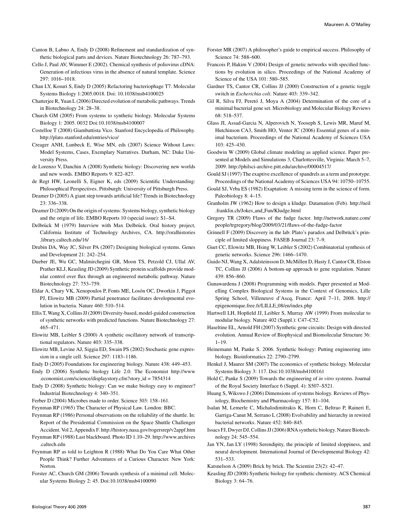- Canton B, Labno A, Endy D (2008) Refinement and standardization of synthetic biological parts and devices. Nature Biotechnology 26: 787–793.
- Cello J, Paul AV, Wimmer E (2002). Chemical synthesis of poliovirus cDNA: Generation of infectious virus in the absence of natural template. Science 297: 1016–1018.
- Chan LY, Kosuri S, Endy D (2005) Refactoring bacteriophage T7. Molecular Systems Biology 1:2005.0018. Doi: 10.1038/msb4100025
- Chatterjee R, Yuan L (2006) Directed evolution of metabolic pathways. Trends in Biotechnology 24: 28–38.
- Church GM (2005) From systems to synthetic biology. Molecular Systems Biology 1: 2005. 0032 Doi:10.1038/msb4100007
- Costelloe T (2008) Giambattista Vico. Stanford Encyclopedia of Philosophy. <http://plato.stanford.edu/entries/vico/>
- Creager ANH, Lunbeck E, Wise MN, eds (2007) Science Without Laws: Model Systems, Cases, Exemplary Narratives. Durham, NC: Duke University Press.
- de Lorenzo V, Danchin A (2008) Synthetic biology: Discovering new worlds and new words. EMBO Reports 9: 822–827.
- de Regt HW, Leonelli S, Eigner K, eds (2009) Scientific Understanding: Philosophical Perspectives. Pittsburgh: University of Pittsburgh Press.
- Deamer D (2005) A giant step towards artificial life? Trends in Biotechnology 23: 336–338.
- Deamer D (2009) On the origin of systems: Systems biology, synthetic biology and the origin of life. EMBO Reports 10 (special issue): S1–S4.
- Delbrück M (1979) Interview with Max Delbrück. Oral history project, California Institute of Technology Archives, CA. [http://oralhistories](http://oralhistories.library.caltech.edu/16/) [.library.caltech.edu/16/](http://oralhistories.library.caltech.edu/16/)
- Drubin DA, Way JC, Silver PA (2007) Designing biological systems. Genes and Development 21: 242–254.
- Dueber JE, Wu GC, Malmirchegini GR, Moon TS, Petzold CJ, Ullal AV, Prather KLJ, Keasling JD (2009) Synthetic protein scaffolds provide modular control over flux through an engineered metabolic pathway. Nature Biotechnology 27: 753–759.
- Eldar A, Chary VK, Xenopoulos P, Fonts ME, Losón OC, Dworkin J, Piggot PJ, Elowitz MB (2009) Partial penetrance facilitates developmental evolution in bacteria. Nature 460: 510–514.
- Ellis T, Wang X, Collins JJ (2009) Diversity-based, model-guided construction of synthetic networks with predicted functions. Nature Biotechnology 27: 465–471.
- Elowitz MB, Leibler S (2000) A synthetic oscillatory network of transcriptional regulators. Nature 403: 335–338.
- Elowitz MB, Levine AJ, Siggia ED, Swain PS (2002) Stochastic gene expression in a single cell. Science 297: 1183–1186.
- Endy D (2005) Foundations for engineering biology. Nature 438: 449–453.
- Endy D (2006) Synthetic biology Life 2.0. The Economist [http://www](http://www.economist.com/science/displaystory.cfm?story_id=7854314) [.economist.com/science/displaystory.cfm?story](http://www.economist.com/science/displaystory.cfm?story_id=7854314) id = 7854314
- Endy D (2008) Synthetic biology: Can we make biology easy to engineer? Industrial Biotechnology 4: 340–351.
- Ferber D (2004) Microbes made to order. Science 303: 158–161.
- Feynman RP (1965) The Character of Physical Law. London: BBC.
- Feynman RP (1986) Personal observations on the reliability of the shuttle. In: Report of the Presidential Commission on the Space Shuttle Challenger Accident. Vol 2, Appendix F[. http://history.nasa.gov/rogersrep/v2appf.htm](http://history.nasa.gov/rogersrep/v2appf.htm)
- Feynman RP (1988) Last blackboard. Photo ID 1.10–29. [http://www.archives](http://www.archives.caltech.edu) [.caltech.edu](http://www.archives.caltech.edu)
- Feynman RP as told to Leighton R (1988) What Do You Care What Other People Think? Further Adventures of a Curious Character. New York: Norton.
- Forster AC, Church GM (2006) Towards synthesis of a minimal cell. Molecular Systems Biology 2: 45. Doi:10.1038/msb4100090
- Forster MR (2007) A philosopher's guide to empirical success. Philosophy of Science 74: 588–600.
- Francois P, Hakim V (2004) Design of genetic networks with specified functions by evolution in silico. Proceedings of the National Academy of Science of the USA 101: 580–585.
- Gardner TS, Cantor CR, Collins JJ (2000) Construction of a genetic toggle switch in *Escherichia coli*. Nature 403: 339–342.
- Gil R, Silva FJ, Peretó J, Moya A (2004) Determination of the core of a minimal bacterial gene set. Microbiology and Molecular Biology Reviews 68: 518–537.
- Glass JI, Assad-Garcia N, Alperovich N, Yooseph S, Lewis MR, Maruf M, Hutchinson CA3, Smith HO, Venter JC (2006) Essential genes of a minimal bacterium. Proceedings of the National Academy of Sciences USA 103: 425–430.
- Goodwin W (2009) Global climate modeling as applied science. Paper presented at Models and Simulations 3, Charlottesville, Virginia: March 5–7, 2009.<http://philsci-archive.pitt.edu/archive/00004517/>
- Gould SJ (1997) The exaptive excellence of spandrels as a term and prototype. Proceedings of the National Academy of Sciences USA 94: 10750–10755.
- Gould SJ, Vrba ES (1982) Exaptation: A missing term in the science of form. Paleobiology 8: 4–15.
- Granholm JW (1962) How to design a kludge. Datamation (Feb). [http://neil](http://neil.franklin.ch/Jokes_and_Fun/Kludge.html) [.franklin.ch/Jokes](http://neil.franklin.ch/Jokes_and_Fun/Kludge.html) and Fun/Kludge.html
- Gregory TR (2009) Flaws of the fudge factor. [http://network.nature.com/](http://network.nature.com/people/trgregory/blog/2009/03/21/flaws-of-the-fudge-factor) [people/trgregory/blog/2009/03/21/flaws-of-the-fudge-factor](http://network.nature.com/people/trgregory/blog/2009/03/21/flaws-of-the-fudge-factor)
- Grinnell F (2009) Discovery in the lab: Plato's paradox and Delbrück's principle of limited sloppiness. FASEB Journal 23: 7–9.
- Guet CC, Elowitz MB, Hsing W, Leibler S (2002) Combinatorial synthesis of genetic networks. Science 296: 1466–1470.
- Guido NJ, Wang X, Adalsteinsson D, McMillen D, Hasty J, Cantor CR, Elston TC, Collins JJ (2006) A bottom-up approach to gene regulation. Nature 439: 856–860.
- Gunawardena J (2008) Programming with models. Paper presented at Modelling Complex Biological Systems in the Context of Genomics, Lille Spring School, Villeneuve d'Ascq, France: April 7–11, 2008. [http://](http://epigenomique.free.fr/LILLE{_}08/en/index.php) [epigenomique.free.fr/LILLE](http://epigenomique.free.fr/LILLE{_}08/en/index.php) 08/en/index.php
- Hartwell LH, Hopfield JJ, Leibler S, Murray AW (1999) From molecular to modular biology. Nature 402 (Suppl.): C47–C52.
- Haseltine EL, Arnold FH (2007) Synthetic gene circuits: Design with directed evolution. Annual Review of Biophysical and Biomolecular Structure 36: 1–19.
- Heinemann M, Panke S. 2006. Synthetic biology: Putting engineering into biology. Bioinformatics 22: 2790–2799.
- Henkel J, Maurer SM (2007) The economics of synthetic biology. Molecular Systems Biology 3: 117. Doi:10.1038/msb4100161
- Hold C, Panke S (2009) Towards the engineering of *in vitro* systems. Journal of the Royal Society Interface 6 (Suppl. 4): S507–S521.
- Huang S, Wikswo J (2006) Dimensions of systems biology. Reviews of Physiology, Biochemistry and Pharmacology 157: 81–104.
- Isalan M, Lemerle C, Michalodimitrakis K, Horn C, Beltrao P, Raineri E, Garriga-Canut M, Serrano L (2008) Evolvability and hierarchy in rewired bacterial networks. Nature 452: 840–845.
- Issacs FJ, Dwyer DJ, Collins JJ (2006) RNA synthetic biology. Nature Biotechnology 24: 545–554.
- Jan YN, Jan LY (1998) Serendipity, the principle of limited sloppiness, and neural development. International Journal of Developmental Biology 42: 531–533.
- Katsnelson A (2009) Brick by brick. The Scientist 23(2): 42–47.
- Keasling JD (2008) Synthetic biology for synthetic chemistry. ACS Chemical Biology 3: 64–76.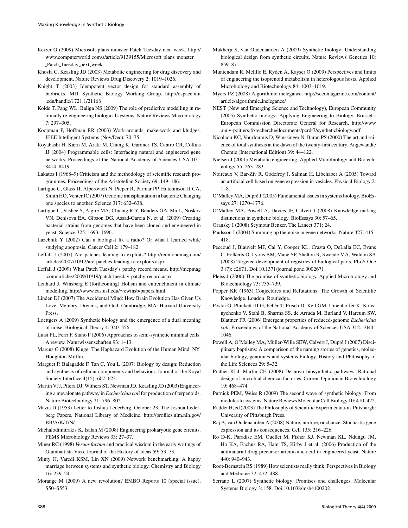- Keizer G (2009) Microsoft plans monster Patch Tuesday next week. [http://](http://www.computerworld.com/s/article/9139155/Microsoft_plans_monster_Patch_Tuesday_next_week) [www.computerworld.com/s/article/9139155/Microsoft](http://www.computerworld.com/s/article/9139155/Microsoft_plans_monster_Patch_Tuesday_next_week) plans monster Patch [Tuesday](http://www.computerworld.com/s/article/9139155/Microsoft_plans_monster_Patch_Tuesday_next_week) next week
- Khosla C, Keasling JD (2003) Metabolic engineering for drug discovery and development. Nature Reviews Drug Discovery 2: 1019–1026.
- Knight T (2003) Idempotent vector design for standard assembly of biobricks. MIT Synthetic Biology Working Group. [http://dspace.mit](http://dspace.mit.edu/handle/1721.1/21168) [.edu/handle/1721.1/21168](http://dspace.mit.edu/handle/1721.1/21168)
- Koide T, Pang WL, Baliga NS (2009) The role of predictive modelling in rationally re-engineering biological systems. Nature Reviews Microbiology 7: 297–305.
- Koopman P, Hoffman RR (2003) Work-arounds, make-work and kludges. IEEE Intelligent Systems (Nov/Dec): 70–75.
- Koyabashi H, Kærn M, Araki M, Chung K, Gardner TS, Cantro CR, Collins JJ (2004) Programmable cells: Interfacing natural and engineered gene networks. Proceedings of the National Academy of Sciences USA 101: 8414–8419.
- Lakatos I (1968–9) Criticism and the methodology of scientific research programmes. Proceedings of the Aristotelian Society 69: 149–186.
- Lartigue C, Glass JI, Alperovich N, Pieper R, Parmar PP, Hutchinson II CA, Smith HO, Venter JC (2007) Genome transplantation in bacteria: Changing one species to another. Science 317: 632–638.
- Lartigue C, Vashee S, Algire MA, Chuang R-Y, Benders GA, Ma L, Noskov VN, Denisova EA, Gibson DG, Assad-Garcia N, et al. (2009) Creating bacterial strains from genomes that have been cloned and engineered in yeast. Science 325: 1693–1696.
- Lazebnik Y (2002) Can a biologist fix a radio? Or what I learned while studying apoptosis. Cancer Cell 2: 179–182.
- Leffall J (2007) Are patches leading to exploits? [http://redmondmag.com/](http://redmondmag.com/articles/2007/10/12/are-patches-leading-to-exploits.aspx) [articles/2007/10/12/are-patches-leading-to-exploits.aspx](http://redmondmag.com/articles/2007/10/12/are-patches-leading-to-exploits.aspx)
- Leffall J (2009) What Patch Tuesday's patchy record means. [http://mcpmag](http://mcpmag.com/articles/2009/10/19/patch-tuesday-patchy-record.aspx) [.com/articles/2009/10/19/patch-tuesday-patchy-record.aspx](http://mcpmag.com/articles/2009/10/19/patch-tuesday-patchy-record.aspx)
- Lenhard J, Winsberg E (forthcoming) Holism and entrenchment in climate modelling. [http://www.cas.usf.edu/](http://www.cas.usf.edu/~ewinsb/papers.html)∼ewinsb/papers.html
- Linden DJ (2007) The Accidental Mind: How Brain Evolution Has Given Us Love, Memory, Dreams, and God. Cambridge, MA: Harvard University Press.
- Loettgers A (2009) Synthetic biology and the emergence of a dual meaning of noise. Biological Theory 4: 340–356.
- Luisi PL, Ferri F, Stano P (2006) Approaches to semi-synthetic minimal cells: A review. Naturwissenschaften 93: 1–13.
- Marcus G (2008) Kluge: The Haphazard Evolution of the Human Mind. NY: Houghton Mifflin.
- Marguet P, Balagadde F, Tan C, You L (2007) Biology by design: Reduction and synthesis of cellular components and behaviour. Journal of the Royal Society Interface 4(15): 607–623.
- Martin VJJ, Pitera DJ, Withers ST, Newman JD, Keasling JD (2003) Engineering a mevalonate pathway in *Escherichia coli* for production of terpenoids. Nature Biotechnology 21: 796–802.
- Mazia D (1953) Letter to Joshua Lederberg, October 23. The Joshua Lederberg Papers, National Library of Medicine. [http://profiles.nlm.nih.gov/](http://profiles.nlm.nih.gov/BB/A/K/T/N/) [BB/A/K/T/N/](http://profiles.nlm.nih.gov/BB/A/K/T/N/)
- Michalodimitrakis K, Isalan M (2008) Engineering prokaryotic gene circuits. FEMS Microbiology Reviews 33: 27–37.
- Miner RC (1998) *Verum-factum* and practical wisdom in the early writings of Giambattista Vico. Journal of the History of Ideas 59: 53–73.
- Minty JJ, Varedi KSM, Lin XN (2009) Network benchmarking: A happy marriage between systems and synthetic biology. Chemistry and Biology 16: 239–241.

Morange M (2009) A new revolution? EMBO Reports 10 (special issue), S50–S553.

- Mukherji S, van Oudenaarden A (2009) Synthetic biology: Understanding biological design from synthetic circuits. Nature Reviews Genetics 10: 859–871.
- Muntendam R, Melillo E, Ryden A, Kayser O (2009) Perspectives and limits of engineering the isoprenoid metabolism in heterologous hosts. Applied Microbiology and Biotechnology 84: 1003–1019.
- Myers PZ (2008) Algorithmic inelegance. [http://seedmagazine.com/content/](http://seedmagazine.com/content/article/algorithmic{_}inelegance/) [article/algorithmic](http://seedmagazine.com/content/article/algorithmic{_}inelegance/) inelegance/
- NEST (New and Emerging Science and Technology), European Community (2005) Synthetic biology: Applying Engineering to Biology. Brussels: European Commission Directorate General for Research. [http://www](http://www.univ-poitiers.fr/recherche/documents/pcrdt7/syntheticbiology.pdf) [.univ-poitiers.fr/recherche/documents/pcrdt7/syntheticbiology.pdf](http://www.univ-poitiers.fr/recherche/documents/pcrdt7/syntheticbiology.pdf)
- Nicolaou KC, Vourloumis D, Winssinger N, Baran PS (2000) The art and science of total synthesis at the dawn of the twenty-first century. Angewandte Chemie (International Edition) 39: 44–122.
- Nielsen J (2001) Metabolic engineering. Applied Microbiology and Biotechnology 55: 263–283.
- Noireaux V, Bar-Ziv R, Godefroy J, Salman H, Libchaber A (2005) Toward an artificial cell based on gene expression in vesicles. Physical Biology 2: 1–8.
- O'Malley MA, Dupré J (2005) Fundamental issues in systems biology. BioEssays 27: 1270–1776.
- O'Malley MA, Powell A, Davies JF, Calvert J (2008) Knowledge-making distinctions in synthetic biology. BioEssays 30: 57–65.
- Oransky I (2008) Seymour Benzer. The Lancet 371: 24.
- Paulsson J (2004) Summing up the noise in gene networks. Nature 427: 415– 418.
- Peccoud J, Blauvelt MF, Cai Y, Cooper KL, Crasta O, DeLalla EC, Evans C, Folkerts O, Lyons BM, Mane SP, Shelton R, Sweede MA, Waldon SA (2008) Targeted development of registries of biological parts. PLoS One 3 (7): e2671. Doi:10.1371/journal.pone.0002671
- Pleiss J (2006) The promise of synthetic biology. Applied Microbiology and Biotechnology 73: 735–739.
- Popper KR (1963) Conjectures and Refutations: The Growth of Scientific Knowledge. London: Routledge.
- Pósfai G, Plunkett III G, Fehér T, Frisch D, Keil GM, Umenhoffer K, Kolisnychenko V, Stahl B, Sharma SS, de Arruda M, Burland V, Harcum SW, Blattner FR (2006) Emergent properties of reduced-genome *Escherichia coli*. Proceedings of the National Academy of Sciences USA 312: 1044– 1046.
- Powell A, O'Malley MA, Müller-Wille SEW, Calvert J, Dupré J (2007) Disciplinary baptisms: A comparison of the naming stories of genetics, molecular biology, genomics and systems biology. History and Philosophy of the Life Sciences 29: 5–32.
- Prather KLJ, Martin CH (2008) De novo biosynthetic pathways: Rational design of microbial chemical factories. Current Opinion in Biotechnology 19: 468–474.
- Purnick PEM, Weiss R (2009) The second wave of synthetic biology: From modules to systems. Nature Reviews Molecular Cell Biology 10: 410–422.
- Radder H, ed (2003) The Philosophy of Scientific Experimentation. Pittsburgh: University of Pittsburgh Press.
- Raj A, van Oudenaarden A (2008) Nature, nurture, or chance: Stochastic gene expression and its consequences. Cell 135: 216–226.
- Ro D-K, Paradise EM, Ouellet M, Fisher KJ, Newman KL, Ndungu JM, Ho KA, Eachus RA, Ham TS, Kirby J et al. (2006) Production of the antimalarial drug precursor artemisinic acid in engineered yeast. Nature 440: 940–943.
- Root-Bernstein RS (1989) How scientists really think. Perspectives in Biology and Medicine 32: 472–488.
- Serrano L (2007) Synthetic biology: Promises and challenges. Molecular Systems Biology 3: 158. Doi:10.1038/msb4100202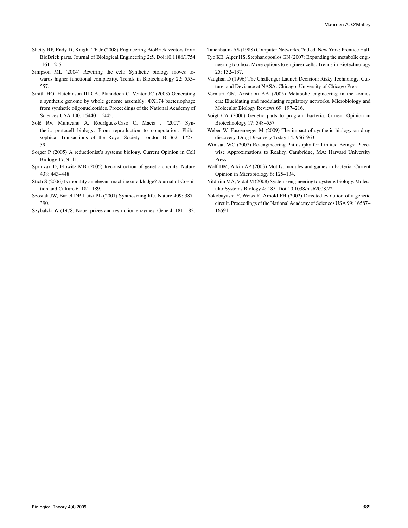- Shetty RP, Endy D, Knight TF Jr (2008) Engineering BioBrick vectors from BioBrick parts. Journal of Biological Engineering 2:5. Doi:10.1186/1754 -1611-2-5
- Simpson ML (2004) Rewiring the cell: Synthetic biology moves towards higher functional complexity. Trends in Biotechnology 22: 555– 557.
- Smith HO, Hutchinson III CA, Pfanndoch C, Venter JC (2003) Generating a synthetic genome by whole genome assembly:  $\Phi$ X174 bacteriophage from synthetic oligonucleotides. Proceedings of the National Academy of Sciences USA 100: 15440–15445.
- Solé RV, Munteanu A, Rodríguez-Caso C, Macia J (2007) Synthetic protocell biology: From reproduction to computation. Philosophical Transactions of the Royal Society London B 362: 1727– 39.
- Sorger P (2005) A reductionist's systems biology. Current Opinion in Cell Biology 17: 9–11.
- Sprinzak D, Elowitz MB (2005) Reconstruction of genetic circuits. Nature 438: 443–448.
- Stich S (2006) Is morality an elegant machine or a kludge? Journal of Cognition and Culture 6: 181–189.
- Szostak JW, Bartel DP, Luisi PL (2001) Synthesizing life. Nature 409: 387– 390.
- Szybalski W (1978) Nobel prizes and restriction enzymes. Gene 4: 181–182.

Tanenbaum AS (1988) Computer Networks. 2nd ed. New York: Prentice Hall.

- Tyo KE, Alper HS, Stephanopoulos GN (2007) Expanding the metabolic engineering toolbox: More options to engineer cells. Trends in Biotechnology 25: 132–137.
- Vaughan D (1996) The Challenger Launch Decision: Risky Technology, Culture, and Deviance at NASA. Chicago: University of Chicago Press.
- Vermuri GN, Aristidou AA (2005) Metabolic engineering in the -omics era: Elucidating and modulating regulatory networks. Microbiology and Molecular Biology Reviews 69: 197–216.
- Voigt CA (2006) Genetic parts to program bacteria. Current Opinion in Biotechnology 17: 548–557.
- Weber W, Fussenegger M (2009) The impact of synthetic biology on drug discovery. Drug Discovery Today 14: 956–963.
- Wimsatt WC (2007) Re-engineering Philosophy for Limited Beings: Piecewise Approximations to Reality. Cambridge, MA: Harvard University Press.
- Wolf DM, Arkin AP (2003) Motifs, modules and games in bacteria. Current Opinion in Microbiology 6: 125–134.
- Yildirim MA, Vidal M (2008) Systems engineering to systems biology. Molecular Systems Biology 4: 185. Doi:10.1038/msb2008.22
- Yokobayashi Y, Weiss R, Arnold FH (2002) Directed evolution of a genetic circuit. Proceedings of the National Academy of Sciences USA 99: 16587– 16591.